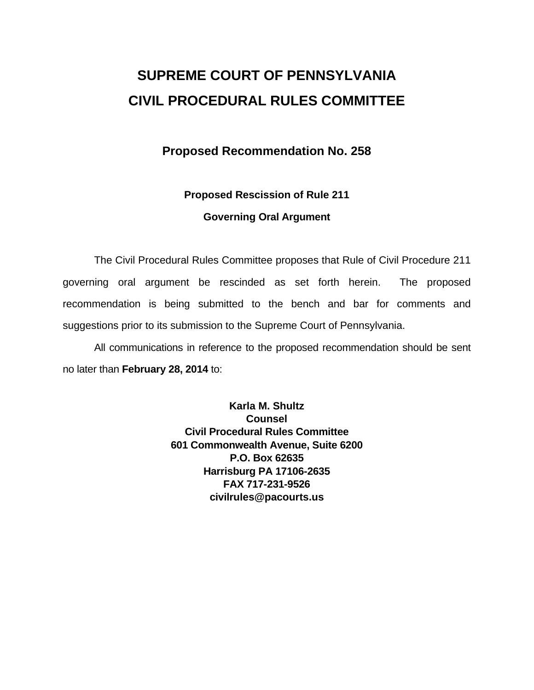# **SUPREME COURT OF PENNSYLVANIA CIVIL PROCEDURAL RULES COMMITTEE**

## **Proposed Recommendation No. 258**

# **Proposed Rescission of Rule 211**

### **Governing Oral Argument**

The Civil Procedural Rules Committee proposes that Rule of Civil Procedure 211 governing oral argument be rescinded as set forth herein. The proposed recommendation is being submitted to the bench and bar for comments and suggestions prior to its submission to the Supreme Court of Pennsylvania.

All communications in reference to the proposed recommendation should be sent no later than **February 28, 2014** to:

> **Karla M. Shultz Counsel Civil Procedural Rules Committee 601 Commonwealth Avenue, Suite 6200 P.O. Box 62635 Harrisburg PA 17106-2635 FAX 717-231-9526 civilrules@pacourts.us**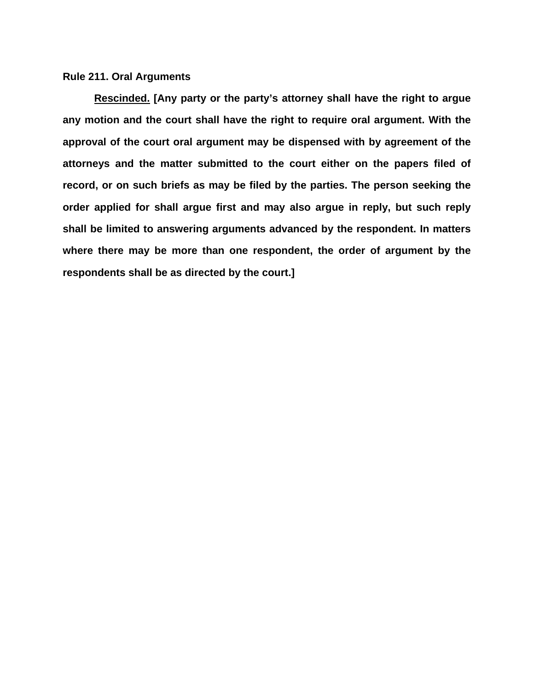#### **Rule 211. Oral Arguments**

**Rescinded. [Any party or the party's attorney shall have the right to argue any motion and the court shall have the right to require oral argument. With the approval of the court oral argument may be dispensed with by agreement of the attorneys and the matter submitted to the court either on the papers filed of record, or on such briefs as may be filed by the parties. The person seeking the order applied for shall argue first and may also argue in reply, but such reply shall be limited to answering arguments advanced by the respondent. In matters where there may be more than one respondent, the order of argument by the respondents shall be as directed by the court.]**